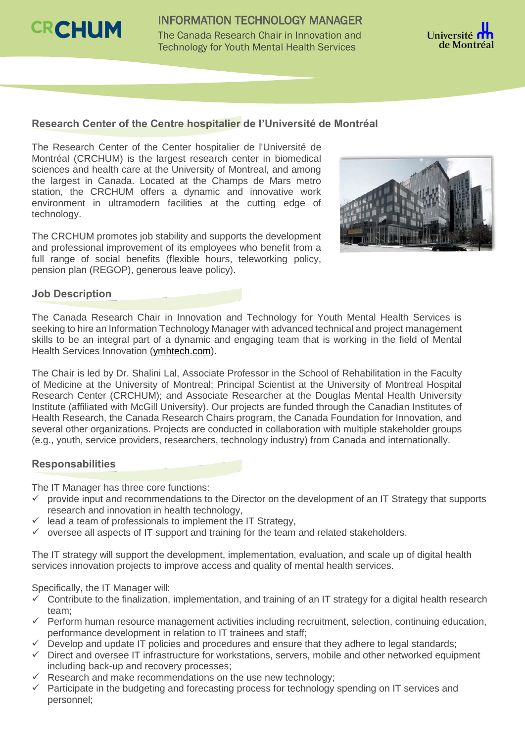

INFORMATION TECHNOLOGY MANAGER The Canada Research Chair in Innovation and Technology for Youth Mental Health Services



### **Research Center of the Centre hospitalier de l'Université de Montréal**

The Research Center of the Center hospitalier de l'Université de Montréal (CRCHUM) is the largest research center in biomedical sciences and health care at the University of Montreal, and among the largest in Canada. Located at the Champs de Mars metro station, the CRCHUM offers a dynamic and innovative work environment in ultramodern facilities at the cutting edge of technology.

The CRCHUM promotes job stability and supports the development and professional improvement of its employees who benefit from a full range of social benefits (flexible hours, teleworking policy, pension plan (REGOP), generous leave policy).



# **Job Description**

The Canada Research Chair in Innovation and Technology for Youth Mental Health Services is seeking to hire an Information Technology Manager with advanced technical and project management skills to be an integral part of a dynamic and engaging team that is working in the field of Mental Health Services Innovation [\(ymhtech.com\)](https://www.ymhtech.com/).

The Chair is led by Dr. Shalini Lal, Associate Professor in the School of Rehabilitation in the Faculty of Medicine at the University of Montreal; Principal Scientist at the University of Montreal Hospital Research Center (CRCHUM); and Associate Researcher at the Douglas Mental Health University Institute (affiliated with McGill University). Our projects are funded through the Canadian Institutes of Health Research, the Canada Research Chairs program, the Canada Foundation for Innovation, and several other organizations. Projects are conducted in collaboration with multiple stakeholder groups (e.g., youth, service providers, researchers, technology industry) from Canada and internationally.

#### **Responsabilities**

The IT Manager has three core functions:

- $\checkmark$  provide input and recommendations to the Director on the development of an IT Strategy that supports research and innovation in health technology,
- lead a team of professionals to implement the IT Strategy,
- $\checkmark$  oversee all aspects of IT support and training for the team and related stakeholders.

The IT strategy will support the development, implementation, evaluation, and scale up of digital health services innovation projects to improve access and quality of mental health services.

Specifically, the IT Manager will:

- $\checkmark$  Contribute to the finalization, implementation, and training of an IT strategy for a digital health research team;
- $\checkmark$  Perform human resource management activities including recruitment, selection, continuing education, performance development in relation to IT trainees and staff;
- $\checkmark$  Develop and update IT policies and procedures and ensure that they adhere to legal standards;
- $\checkmark$  Direct and oversee IT infrastructure for workstations, servers, mobile and other networked equipment including back-up and recovery processes;
- $\checkmark$  Research and make recommendations on the use new technology;
- $\checkmark$  Participate in the budgeting and forecasting process for technology spending on IT services and personnel;